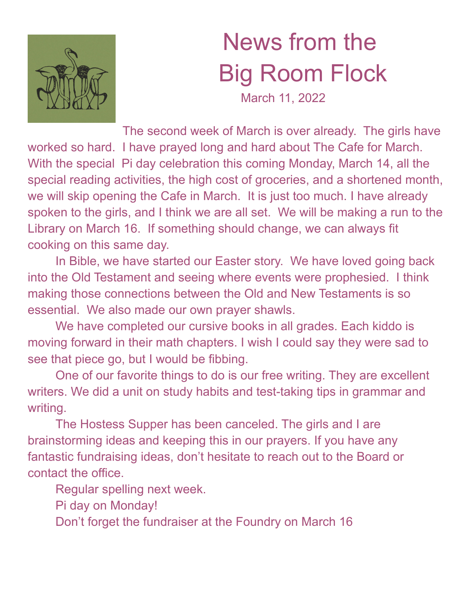

## News from the Big Room Flock

March 11, 2022

The second week of March is over already. The girls have worked so hard. I have prayed long and hard about The Cafe for March. With the special Pi day celebration this coming Monday, March 14, all the special reading activities, the high cost of groceries, and a shortened month, we will skip opening the Cafe in March. It is just too much. I have already spoken to the girls, and I think we are all set. We will be making a run to the Library on March 16. If something should change, we can always fit cooking on this same day.

In Bible, we have started our Easter story. We have loved going back into the Old Testament and seeing where events were prophesied. I think making those connections between the Old and New Testaments is so essential. We also made our own prayer shawls.

We have completed our cursive books in all grades. Each kiddo is moving forward in their math chapters. I wish I could say they were sad to see that piece go, but I would be fibbing.

One of our favorite things to do is our free writing. They are excellent writers. We did a unit on study habits and test-taking tips in grammar and writing.

The Hostess Supper has been canceled. The girls and I are brainstorming ideas and keeping this in our prayers. If you have any fantastic fundraising ideas, don't hesitate to reach out to the Board or contact the office.

Regular spelling next week.

Pi day on Monday!

Don't forget the fundraiser at the Foundry on March 16